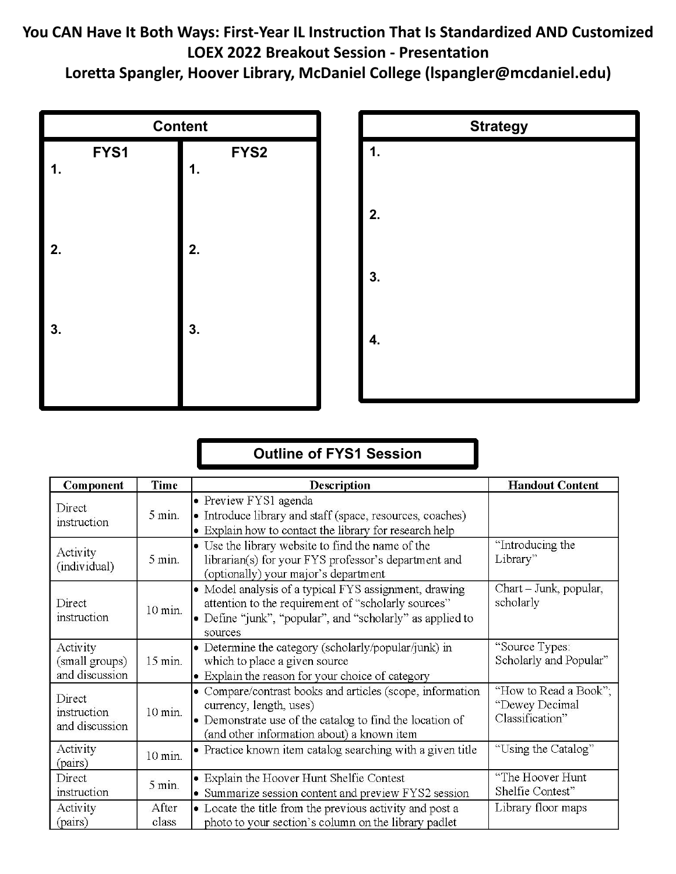## **You CAN Have It Both Ways: First‐Year IL Instruction That Is Standardized AND Customized LOEX 2022 Breakout Session ‐ Presentation**

**Loretta Spangler, Hoover Library, McDaniel College (lspangler@mcdaniel.edu)**





## **Outline of FYS1 Session**

| Component                                    | Time              | <b>Description</b>                                                                                                                                                                             | <b>Handout Content</b>                                     |
|----------------------------------------------|-------------------|------------------------------------------------------------------------------------------------------------------------------------------------------------------------------------------------|------------------------------------------------------------|
| Direct<br>instruction                        | 5 min.            | • Preview FYS1 agenda<br>• Introduce library and staff (space, resources, coaches)<br>• Explain how to contact the library for research help                                                   |                                                            |
| Activity<br>(individual)                     | $5 \text{ min}$ . | • Use the library website to find the name of the<br>librarian(s) for your FYS professor's department and<br>(optionally) your major's department                                              | "Introducing the<br>Library"                               |
| Direct<br>instruction                        | 10 min.           | • Model analysis of a typical FYS assignment, drawing<br>attention to the requirement of "scholarly sources"<br>• Define "junk", "popular", and "scholarly" as applied to<br>sources           | Chart - Junk, popular,<br>scholarly                        |
| Activity<br>(small groups)<br>and discussion | 15 min.           | • Determine the category (scholarly/popular/junk) in<br>which to place a given source<br>• Explain the reason for your choice of category                                                      | "Source Types:<br>Scholarly and Popular"                   |
| Direct<br>instruction<br>and discussion      | $10$ min.         | • Compare/contrast books and articles (scope, information<br>currency, length, uses)<br>• Demonstrate use of the catalog to find the location of<br>(and other information about) a known item | "How to Read a Book";<br>"Dewey Decimal<br>Classification" |
| Activity<br>(pairs)                          | $10$ min.         | • Practice known item catalog searching with a given title                                                                                                                                     | "Using the Catalog"                                        |
| Direct<br>instruction                        | $5 \text{ min.}$  | • Explain the Hoover Hunt Shelfie Contest<br>• Summarize session content and preview FYS2 session                                                                                              | "The Hoover Hunt<br>Shelfie Contest"                       |
| Activity<br>(pairs)                          | After<br>class    | • Locate the title from the previous activity and post a<br>photo to your section's column on the library padlet                                                                               | Library floor maps                                         |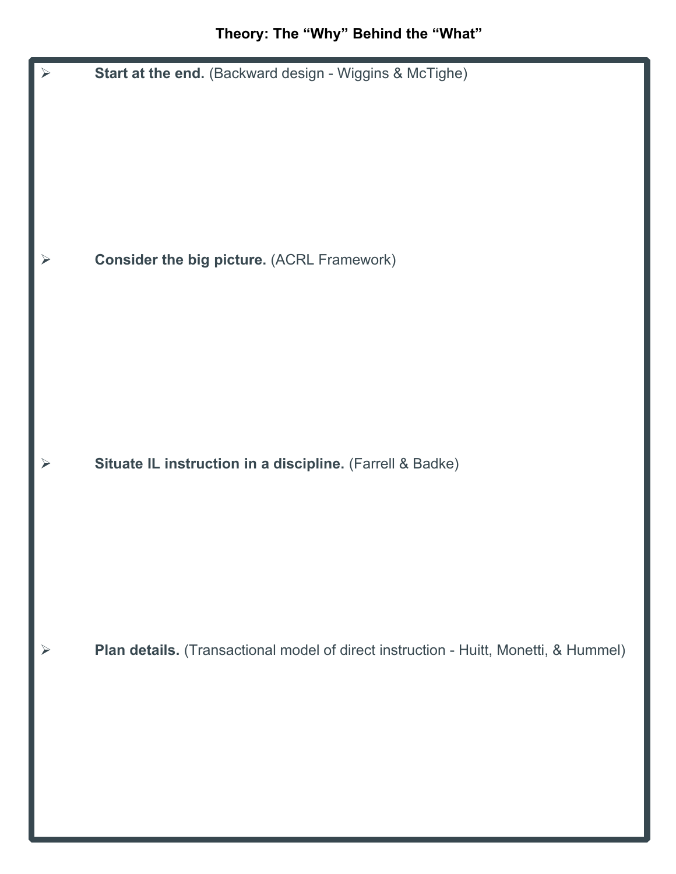